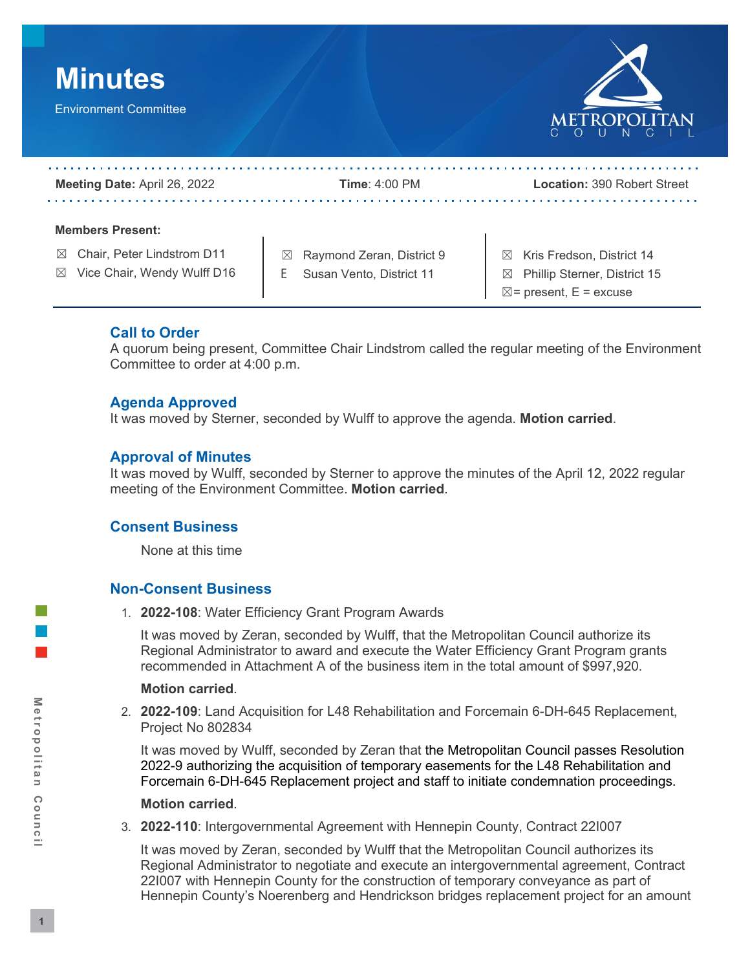

# **Call to Order**

 A quorum being present, Committee Chair Lindstrom called the regular meeting of the Environment Committee to order at 4:00 p.m.

## **Agenda Approved**

It was moved by Sterner, seconded by Wulff to approve the agenda. **Motion carried**.

## **Approval of Minutes**

 It was moved by Wulff, seconded by Sterner to approve the minutes of the April 12, 2022 regular meeting of the Environment Committee. **Motion carried**.

## **Consent Business**

None at this time

# **Non-Consent Business**

1. 2022-108: Water Efficiency Grant Program Awards

 1. **2022-108**: Water Efficiency Grant Program Awards It was moved by Zeran, seconded by Wulff, that the Metropolitan Council authorize its Regional Administrator to award and execute the Water Efficiency Grant Program grants recommended in Attachment A of the business item in the total amount of \$997,920.

## **Motion carried**.

2. **2022-109**: Land Acquisition for L48 Rehabilitation and Forcemain 6-DH-645 Replacement, Project No 802834

 It was moved by Wulff, seconded by Zeran that the Metropolitan Council passes Resolution Forcemain 6-DH-645 Replacement project and staff to initiate condemnation proceedings. 2022-9 authorizing the acquisition of temporary easements for the L48 Rehabilitation and

## **Motion carried**.

3. 2022-110: Intergovernmental Agreement with Hennepin County, Contract 221007

 3. **2022-110**: Intergovernmental Agreement with Hennepin County, Contract 22I007 It was moved by Zeran, seconded by Wulff that the Metropolitan Council authorizes its Hennepin County's Noerenberg and Hendrickson bridges replacement project for an amount Regional Administrator to negotiate and execute an intergovernmental agreement, Contract 22I007 with Hennepin County for the construction of temporary conveyance as part of